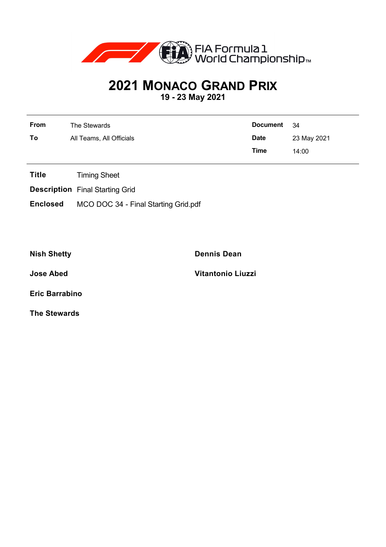

## **2021 MONACO GRAND PRIX**

**19 - 23 May 2021**

| From | The Stewards             | <b>Document</b> | - 34        |
|------|--------------------------|-----------------|-------------|
| To   | All Teams, All Officials | <b>Date</b>     | 23 May 2021 |
|      |                          | Time            | 14:00       |

- **Title** Timing Sheet
- **Description** Final Starting Grid
- **Enclosed** MCO DOC 34 Final Starting Grid.pdf

**Nish Shetty Dennis Dean**

**Jose Abed Vitantonio Liuzzi**

**Eric Barrabino**

**The Stewards**